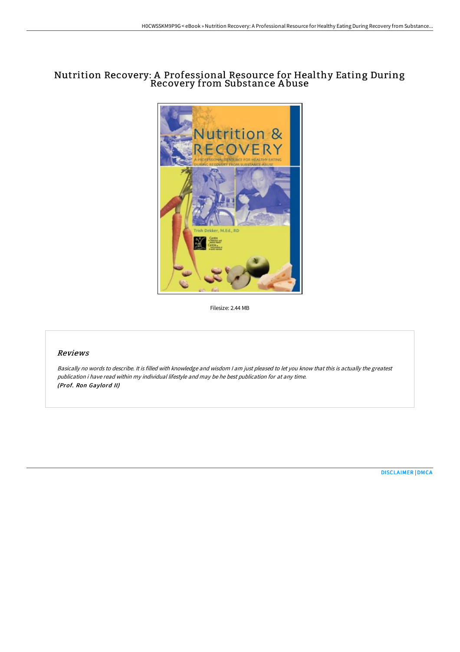# Nutrition Recovery: A Professional Resource for Healthy Eating During Recovery from Substance A buse



Filesize: 2.44 MB

## Reviews

Basically no words to describe. It is filled with knowledge and wisdom <sup>I</sup> am just pleased to let you know that this is actually the greatest publication i have read within my individual lifestyle and may be he best publication for at any time. (Prof. Ron Gaylord II)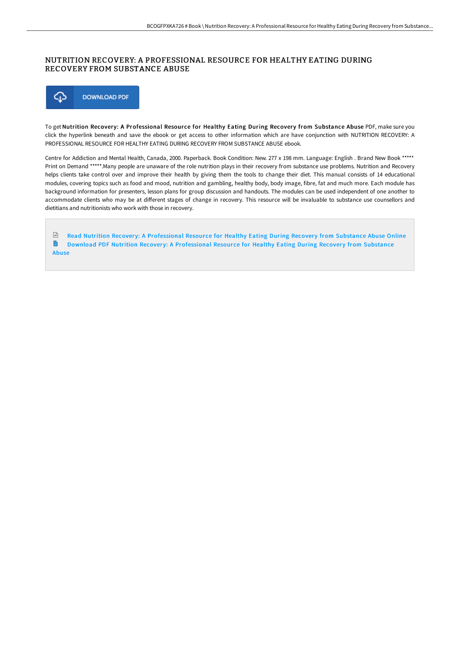## NUTRITION RECOVERY: A PROFESSIONAL RESOURCE FOR HEALTHY EATING DURING RECOVERY FROM SUBSTANCE ABUSE



To get Nutrition Recovery: A Professional Resource for Healthy Eating During Recovery from Substance Abuse PDF, make sure you click the hyperlink beneath and save the ebook or get access to other information which are have conjunction with NUTRITION RECOVERY: A PROFESSIONAL RESOURCE FOR HEALTHY EATING DURING RECOVERY FROM SUBSTANCE ABUSE ebook.

Centre for Addiction and Mental Health, Canada, 2000. Paperback. Book Condition: New. 277 x 198 mm. Language: English . Brand New Book \*\*\*\*\* Print on Demand \*\*\*\*\*.Many people are unaware of the role nutrition plays in their recovery from substance use problems. Nutrition and Recovery helps clients take control over and improve their health by giving them the tools to change their diet. This manual consists of 14 educational modules, covering topics such as food and mood, nutrition and gambling, healthy body, body image, fibre, fat and much more. Each module has background information for presenters, lesson plans for group discussion and handouts. The modules can be used independent of one another to accommodate clients who may be at different stages of change in recovery. This resource will be invaluable to substance use counsellors and dietitians and nutritionists who work with those in recovery.

 $\left| \overrightarrow{n} \right|$ Read Nutrition Recovery: A [Professional](http://albedo.media/nutrition-recovery-a-professional-resource-for-h.html) Resource for Healthy Eating During Recovery from Substance Abuse Online n Download PDF Nutrition Recovery: A [Professional](http://albedo.media/nutrition-recovery-a-professional-resource-for-h.html) Resource for Healthy Eating During Recovery from Substance Abuse